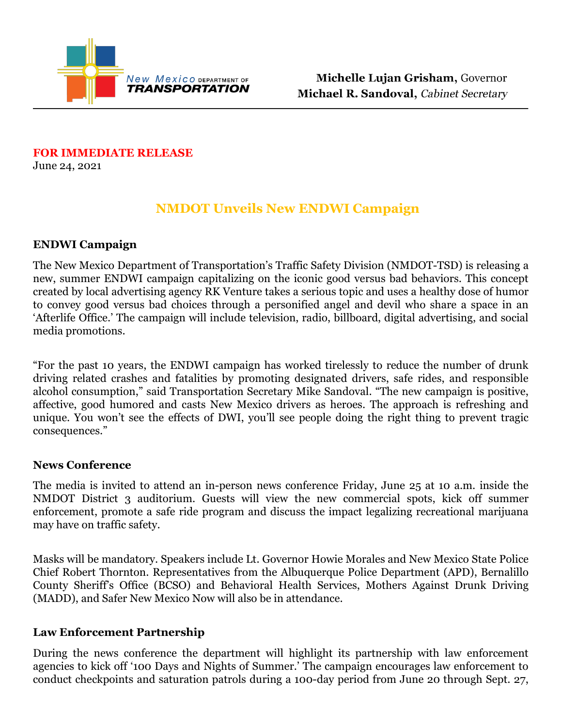

**FOR IMMEDIATE RELEASE**  June 24, 2021

# **NMDOT Unveils New ENDWI Campaign**

### **ENDWI Campaign**

The New Mexico Department of Transportation's Traffic Safety Division (NMDOT-TSD) is releasing a new, summer ENDWI campaign capitalizing on the iconic good versus bad behaviors. This concept created by local advertising agency RK Venture takes a serious topic and uses a healthy dose of humor to convey good versus bad choices through a personified angel and devil who share a space in an 'Afterlife Office.' The campaign will include television, radio, billboard, digital advertising, and social media promotions.

"For the past 10 years, the ENDWI campaign has worked tirelessly to reduce the number of drunk driving related crashes and fatalities by promoting designated drivers, safe rides, and responsible alcohol consumption," said Transportation Secretary Mike Sandoval. "The new campaign is positive, affective, good humored and casts New Mexico drivers as heroes. The approach is refreshing and unique. You won't see the effects of DWI, you'll see people doing the right thing to prevent tragic consequences."

#### **News Conference**

The media is invited to attend an in-person news conference Friday, June 25 at 10 a.m. inside the NMDOT District 3 auditorium. Guests will view the new commercial spots, kick off summer enforcement, promote a safe ride program and discuss the impact legalizing recreational marijuana may have on traffic safety.

Masks will be mandatory. Speakers include Lt. Governor Howie Morales and New Mexico State Police Chief Robert Thornton. Representatives from the Albuquerque Police Department (APD), Bernalillo County Sheriff's Office (BCSO) and Behavioral Health Services, Mothers Against Drunk Driving (MADD), and Safer New Mexico Now will also be in attendance.

#### **Law Enforcement Partnership**

During the news conference the department will highlight its partnership with law enforcement agencies to kick off '100 Days and Nights of Summer.' The campaign encourages law enforcement to conduct checkpoints and saturation patrols during a 100-day period from June 20 through Sept. 27,